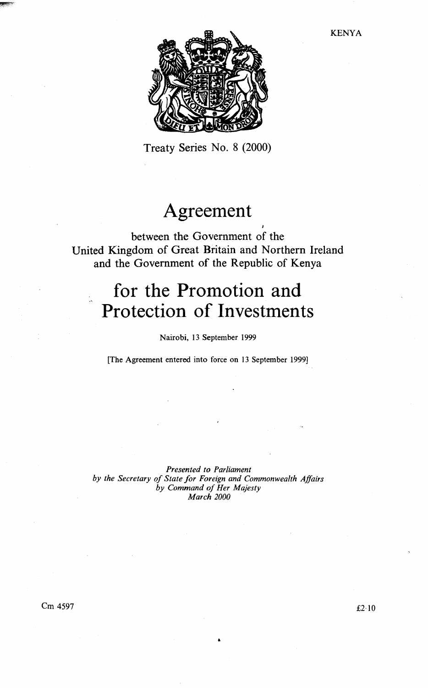KENYA



**Treaty Series** No.8 **(2000)** 

# **Agreement**

**between the Government of the United Kingdom of Great Britain and Northern Ireland and the Government of the Republic of Kenya** 

# **for the Promotion and Protection of Investments**

Nairobi, 13 September 1999

[The Agreement entered into force on 13 September 1999]

*Presented to Parliament by the Secretary of State for Foreign and Commonwealth Affairs by Command of Her Majesty March 2000* 

Cm 4597

£2·10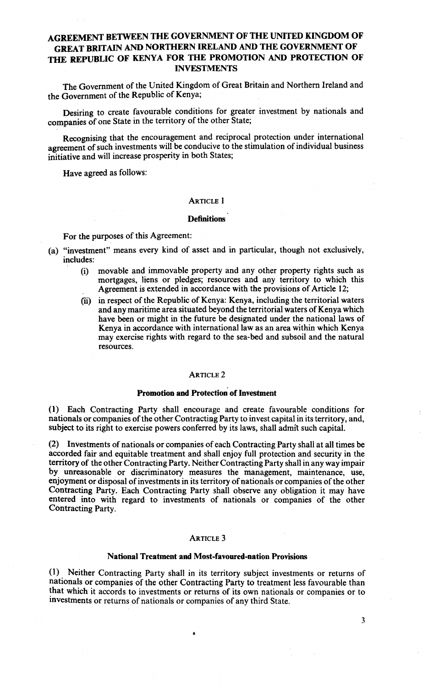## AGREEMENT BETWEEN THE GOVERNMENT OF THE UNITED KINGDOM OF GREAT BRITAIN AND NORTHERN IRELAND AND THE GOVERNMENT OF THE REPUBLIC OF KENYA FOR THE PROMOTION AND PROTECTION OF INVESTMENTS

The Government of the United Kingdom of Great Britain and Northern Ireland and the Government of the Republic of Kenya;

Desiring to create favourable conditions for greater investment by nationals and companies of one State in the territory of the other State;

Recognising that the encouragement and reciprocal protection under international agreement of such investments will be conducive to the stimulation of individual business initiative and will increase prosperity in both States;

Have agreed as follows:

### ARTICLE 1

#### **Definitions**

For the purposes of this Agreement:

- (a) "investment" means every kind of asset and in particular, though not exclusively, includes:
	- (i) movable and immovable property and any other property rights such as mortgages, liens or pledges; resources and any territory to which this Agreement is extended in accordance with the provisions of Article 12;
	- (ii) in respect of the Republic of Kenya: Kenya, including the territorial waters and any maritime area situated beyond the territorial waters of Kenya which have been or might in the future be designated under the national laws of Kenya in accordance with international law as an area within which Kenya may exercise rights with regard to the sea-bed and subsoil and the natural resources.

#### ARTICLE 2

### Promotion and Protection of Investment

(1) Each Contracting Party shall encourage and create favourable conditions for nationals or companies of the other Contracting Party to invest capital in its territory, and, subject to its right to exercise powers conferred by its laws, shall admit such capital.

(2) Investments of nationals or companies of each Contracting Party shall at all times be accorded fair and equitable treatment and shall enjoy full protection and security in the territory of the other Contracting Party. Neither Contracting Party shall in any way impair by unreasonable or discriminatory measures the management, maintenance, use, enjoyment or disposal of investments in its territory of nationals or companies of the other Contracting Party. Each Contracting Party shall observe any obligation it may have entered into with regard to investments of nationals or companies of the other Contracting Party.

#### ARTICLE 3

#### National Treatment and Most-favoured-nation Provisions

(I) Neither Contracting Party shall in its territory subject investments or returns of nationals or companies of the other Contracting Party to treatment less favourable than that which it accords to investments or returns of its own nationals or companies or to mvestments or returns of nationals or companies of any third State.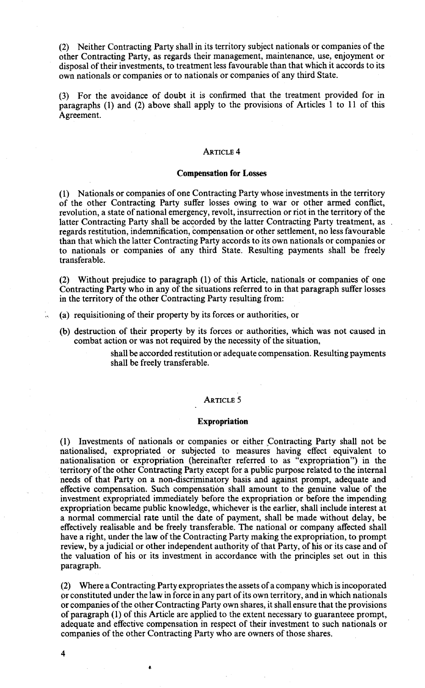(2) Neither Contracting Party shall in its territory subject nationals or companies of the other Contracting Party, as regards their management, maintenance, use, enjoyment or disposal of their investments, to treatment less favourable than that which it accords to its own nationals or companies or to nationals or companies of any third State.

(3) For the avoidance of doubt it is confirmed that the treatment provided for in paragraphs (1) and (2) above shall apply to the provisions of Articles 1 to 11 of this Agreement.

#### ARTICLE 4

#### **Compensation for Losses**

(1) Nationals or companies of one Contracting Party whose investments in the territory of the other Contracting Party suffer losses owing to war or other armed conflict, revolution, a state of national emergency, revolt, insurrection or riot in the territory of the latter Contracting Party shall be accorded by the latter Contracting Party treatment, as regards restitution, indemnification, compensation or other settlement, no less favourable than that which the latter Contracting Party accords to its own nationals or companies or to nationals or companies of any third State. Resulting payments shall be freely transferable.

(2) Without prejudice to paragraph (l) of this Article, nationals or companies of one Contracting Party who in any of the situations referred to in that paragraph suffer losses in the territory of the other Contracting Party resulting from:

- (a) requisitioning of their property by its forces or authorities, or
- (b) destruction of their property by its forces or authorities, which was not caused in combat action or was not required by the necessity of the situation,

shall be accorded restitution or adequate compensation. Resulting payments shall be freely transferable.

#### ARTICLE 5

#### **Expropriation**

(I) Investments of nationals or companies or either ,Contracting Party shall not be nationalised, expropriated or subjected to measures having effect equivalent to nationalisation or expropriation (hereinafter referred to as "expropriation") in the territory of the other Contracting Party except for a public purpose related to the internal needs of that Party on a non-discriminatory basis and against prompt, adequate and effective compensation. Such compensation shall amount to the genuine value of the investment expropriated immediately before the expropriation or before the impending expropriation became public knowledge, whichever is the earlier, shall include interest at a normal commercial rate until the date of payment, shall be made without delay, be effectively realisable and be freely transferable. The national or company affected shall have a right, under the law of the Contracting Party making the expropriation, to prompt review, by a judicial or other independent authority of that Party, of his or its case and of the valuation of his or its investment in accordance with the principles set out in this paragraph.

(2) Where a Contracting Party expropriates the assets of a company which is incoporated pr constituted under the law in force in any part of its own territory, and in which nationals or companies of the other Contracting Party own shares, it shall ensure that the provisions of paragraph (l) of this Article are applied to the extent necessary to guaranteee prompt, adequate and effective compensation in respect of their investment to such nationals or companies of the other Contracting Party who are owners of those shares.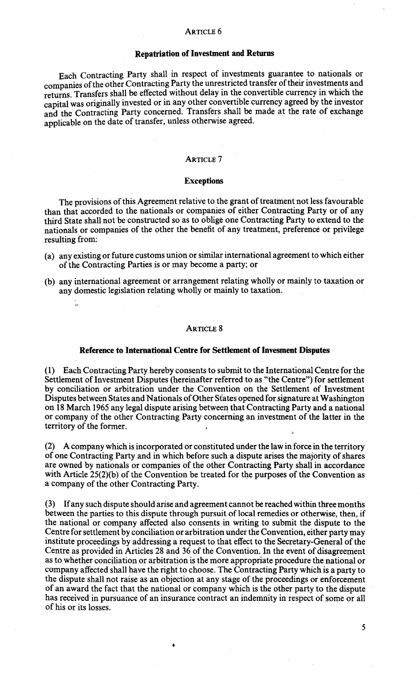#### ARTICLE 6

#### Repatriation of Investment and Returns

Each Contracting Party shall in respect of investments guarantee to nationals or companies of the other Contracting Party the unrestricted transfer of their investments and returns. Transfers shall be effected without delay in the convertible currency in which the capital was originally invested or in any other convertible currency agreed by the investor and the Contracting Party concerned. Transfers shall be made at the rate of exchange applicable on the date of transfer, unless otherwise agreed.

#### ARTICLE 7

#### Exceptions

The provisions of this Agreement relative to the grant of treatment not less favourable than that accorded to the nationals or companies of either Contracting Party or of any third State shall not be constructed so as to oblige one Contracting Party to extend to the nationals or companies of the other the benefit of any treatment, preference or privilege resulting from:

- (a) any existing or future customs union or similar international agreement to which either of the Contracting Parties is or may become a party; or
- (b) any international agreement or arrangement relating wholly or mainly to taxation or any domestic legislation relating wholly or mainly to taxation.

#### ARTICLE 8

#### Reference to International Centre for Settlement of Invesment Disputes

(1) Each Contracting Party hereby consents to submit to the International Centre for the Settlement of Investment Disputes (hereinafter referred to as "the Centre") for settlement by conciliation or arbitration under the Convention on the Settlement of Investment Disputes between States and Nationals of Other States opened for signature at Washington on 18 March 1965 any legal dispute arising between that Contracting Party and a national or company of the other Contracting Party concerning an investment of the latter in the territory of the former.

(2) A company which is incorporated or constituted under the law in force in the territory of one Contracting Party and in which before such a dispute arises the majority of shares are owned by nationals or companies of the other Contracting Party shall in accordance with Article  $25(2)(b)$  of the Convention be treated for the purposes of the Convention as a company of the other Contracting Party.

(3) If any such dispute should arise and agreement cannot be reached within three months between the parties to this dispute through pursuit of local remedies or otherwise, then, if the national or company affected also consents in writing to submit the dispute to the Centre for settlement by conciliation or arbitration under the Convention, either party may institute proceedings by addressing a request to that effect to the Secretary-General of the Centre as provided in Articles 28 and 36 of the Convention. In the event of disagreement as to whether conciliation or arbitration is the more appropriate procedure the national or company affected shall have the right to choose. The Contracting Party which is a party to the dispute shall not raise as an objection at any stage of the proceedings or enforcement of an award the fact that the national or company which is the other party to the dispute has received in pursuance of an insurance contract an indemnity in respect of some or all of his or its losses.

5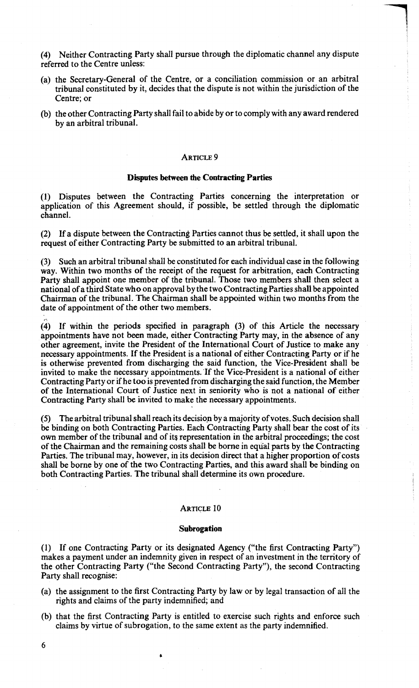(4) Neither Contracting Party shall pursue through the diplomatic channel any dispute referred to the Centre unless:

- (a) the Secretary-General of the Centre, or a conciliation commission or an arbitral tribunal constituted by it, decides that the dispute is not within the jurisdiction of the Centre; or
- (b) the other Contracting Party shall fail to abide by or to comply with any award rendered by an arbitral tribunal.

#### ARTICLE 9

#### Disputes between the Contracting Parties

(1) Disputes between the Contracting Parties concerning the interpretation or application of this Agreement should, if possible, be settled through the diplomatic channel.

(2) If a dispute between the Contracting Parties cannot thus be settled, it shall upon the request of either Contracting Party be submitted to an arbitral tribunal.

(3) Such an arbitral tribunal shall be constituted for each individual case in the following way. Within two months of the receipt of the request for arbitration, each Contracting Party shall appoint one member of the tribunal. Those two members shall then select a national of a third State who on approval by the two Contracting Parties shall be appointed Chairman of the tribunal. The Chairman shall be appointed within two months from the date of appointment of the other two members.

 $\hat{A}$ ) If within the periods specified in paragraph (3) of this Article the necessary appointments have not been made, either Contracting Party may, in the absence of any other agreement, invite the President of the International Court of Justice to make any necessary appointments. If the President is a national of either Contracting Party or if he is otherwise prevented from discharging the said function, the Vice-President shall be invited to make the necessary appointments. 'If the Vice-President is a national of either Contracting Party or ifhe too is prevented from discharging the said function, the Member of the International Court of Justice next in seniority who is not a national of either Contracting Party shall be invited to make the necessary appointments.

 $(5)$  The arbitral tribunal shall reach its decision by a majority of votes. Such decision shall be binding on both Contracting Parties. Each Contracting Party shall bear the cost of its own member of the tribunal and of its representation in the arbitral proceedings; the cost of the Chairman and the remaining costs shall be borne in equal parts by the Contracting Parties. The tribunal may, however, in its decision direct that a higher proportion of costs shall be borne by one of the two Contracting Parties, and this award shall be binding on both Contracting Parties. The tribunal shall determine its own procedure.

#### ARTICLE 10

#### Subrogation

(1) If one Contracting Party or its designated Agency ("the first Contracting Party") makes a payment under an indemnity given in respect of an investment in the territory of the other Contracting Party ("the Second Contracting Party"), the second Contracting Party shall recognise:

- (a) the assignment to the first Contracting Party by law or by legal transaction of all the rights and claims of the party indemnified; and
- (b) that the first Contracting Party is entitled to exercise such rights and enforce such claims by virtue of subrogation, to the same extent as the party indemnified.
- 6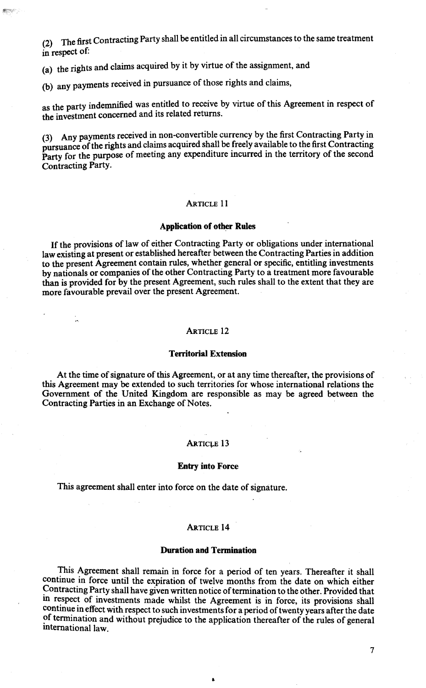(2) The first Contracting Party shall be entitled in all circumstances to the same treatment in respect of:

(a) the rights and claims acquired by it by virtue of the assignment, and

(b) any payments received in pursuance of those rights and claims,

as the party indemnified was entitled to receive by virtue of this Agreement in respect of the investment concerned and its related returns.

(3) Any payments received in non-convertible currency by the first Contracting Party in pursuance of the rights and claims acquired shall be freely available to the first Contracting Party for the purpose of meeting any expenditure incurred in the territory of the second Contracting Party.

#### ARTICLE 11

#### Application of other Rules

If the provisions of law of either Contracting Party or obligations under international law existing at present or established hereafter between the Contracting Parties in addition to the present Agreement contain rules, whether general or specific, entitling investments by nationals or companies of the other Contracting Party to a treatment more favourable than is provided for by the present Agreement, such rules shall to the extent that they are more favourable prevail over the present Agreement.

#### ARTICLE 12

#### Territorial Extension

At the time of signature of this Agreement, or at any time thereafter, the provisions of this Agreement may be extended to such territories for whose international relations the Government of the United Kingdom are responsible as may be agreed between the Contracting Parties in an Exchange of Notes.

#### **ARTICLE 13**

#### Entry into Force

This agreement shall enter into force on the date of signature.

.<br>پ

#### ARTICLE 14

#### Duration and Termination

This Agreement shall remain in force for a period of ten years. Thereafter it shall continue in force until the expiration of twelve months from the date on which either Contracting Party shall have given written notice of termination to the other. Provided that in respect of investments made whilst the Agreement is in force, its provisions shall continue in effect with respect to such investments for a period of twenty years after the date of termination and without prejudice to the application thereafter of the rules of general international law.

à.